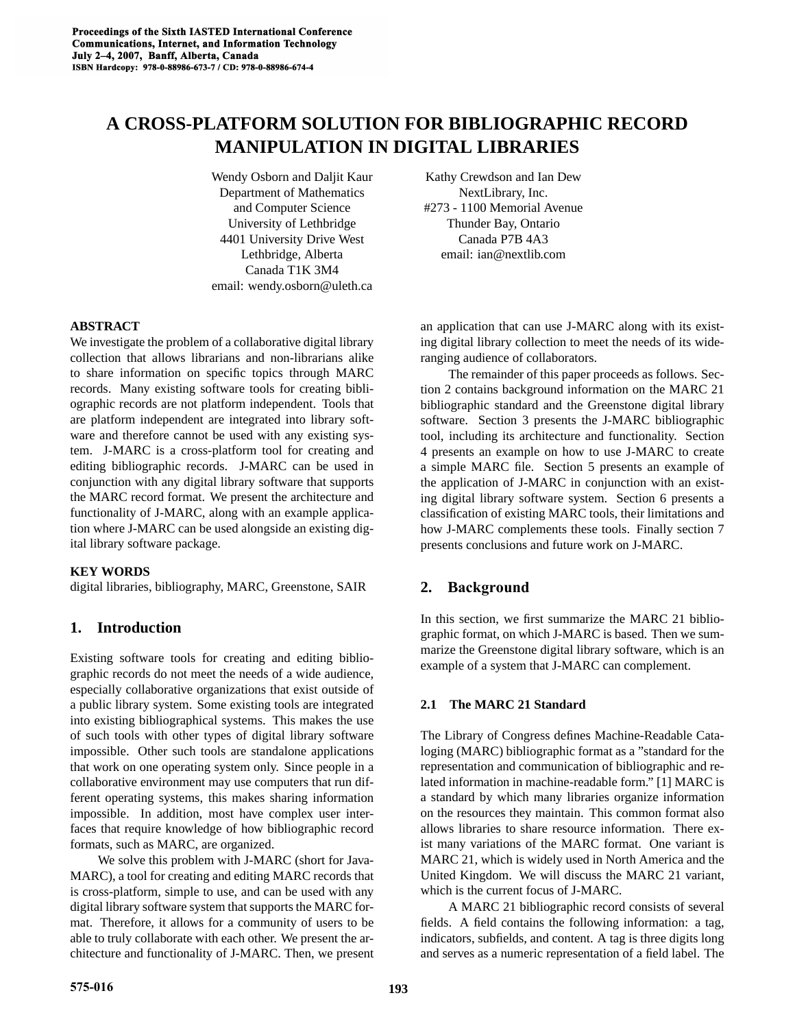# **A CROSS-PLATFORM SOLUTION FOR BIBLIOGRAPHIC RECORD MANIPULATION IN DIGITAL LIBRARIES**

Wendy Osborn and Daljit Kaur Department of Mathematics and Computer Science University of Lethbridge 4401 University Drive West Lethbridge, Alberta Canada T1K 3M4 email: wendy.osborn@uleth.ca

**ABSTRACT**

We investigate the problem of a collaborative digital library collection that allows librarians and non-librarians alike to share information on specific topics through MARC records. Many existing software tools for creating bibliographic records are not platform independent. Tools that are platform independent are integrated into library software and therefore cannot be used with any existing system. J-MARC is a cross-platform tool for creating and editing bibliographic records. J-MARC can be used in conjunction with any digital library software that supports the MARC record format. We present the architecture and functionality of J-MARC, along with an example application where J-MARC can be used alongside an existing digital library software package.

## **KEY WORDS**

digital libraries, bibliography, MARC, Greenstone, SAIR

# **1. Introduction**

Existing software tools for creating and editing bibliographic records do not meet the needs of a wide audience, especially collaborative organizations that exist outside of a public library system. Some existing tools are integrated into existing bibliographical systems. This makes the use of such tools with other types of digital library software impossible. Other such tools are standalone applications that work on one operating system only. Since people in a collaborative environment may use computers that run different operating systems, this makes sharing information impossible. In addition, most have complex user interfaces that require knowledge of how bibliographic record formats, such as MARC, are organized.

We solve this problem with J-MARC (short for Java-MARC), a tool for creating and editing MARC records that is cross-platform, simple to use, and can be used with any digital library software system that supports the MARC format. Therefore, it allows for a community of users to be able to truly collaborate with each other. We present the architecture and functionality of J-MARC. Then, we present

Kathy Crewdson and Ian Dew NextLibrary, Inc. #273 - 1100 Memorial Avenue Thunder Bay, Ontario Canada P7B 4A3 email: ian@nextlib.com

an application that can use J-MARC along with its existing digital library collection to meet the needs of its wideranging audience of collaborators.

The remainder of this paper proceeds as follows. Section 2 contains background information on the MARC 21 bibliographic standard and the Greenstone digital library software. Section 3 presents the J-MARC bibliographic tool, including its architecture and functionality. Section 4 presents an example on how to use J-MARC to create a simple MARC file. Section 5 presents an example of the application of J-MARC in conjunction with an existing digital library software system. Section 6 presents a classification of existing MARC tools, their limitations and how J-MARC complements these tools. Finally section 7 presents conclusions and future work on J-MARC.

# **2. Background**

In this section, we first summarize the MARC 21 bibliographic format, on which J-MARC is based. Then we summarize the Greenstone digital library software, which is an example of a system that J-MARC can complement.

## **2.1 The MARC 21 Standard**

The Library of Congress defines Machine-Readable Cataloging (MARC) bibliographic format as a "standard for the representation and communication of bibliographic and related information in machine-readable form." [1] MARC is a standard by which many libraries organize information on the resources they maintain. This common format also allows libraries to share resource information. There exist many variations of the MARC format. One variant is MARC 21, which is widely used in North America and the United Kingdom. We will discuss the MARC 21 variant, which is the current focus of J-MARC.

A MARC 21 bibliographic record consists of several fields. A field contains the following information: a tag, indicators, subfields, and content. A tag is three digits long and serves as a numeric representation of a field label. The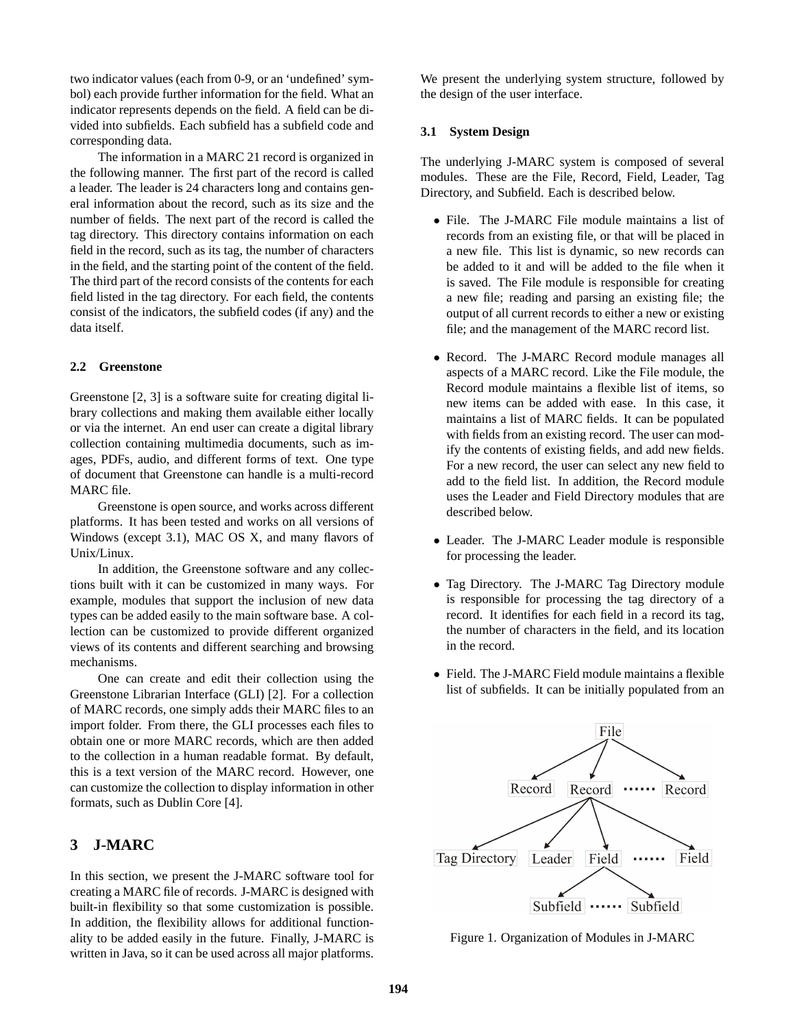two indicator values (each from 0-9, or an 'undefined' symbol) each provide further information for the field. What an indicator represents depends on the field. A field can be divided into subfields. Each subfield has a subfield code and corresponding data.

The information in a MARC 21 record is organized in the following manner. The first part of the record is called a leader. The leader is 24 characters long and contains general information about the record, such as its size and the number of fields. The next part of the record is called the tag directory. This directory contains information on each field in the record, such as its tag, the number of characters in the field, and the starting point of the content of the field. The third part of the record consists of the contents for each field listed in the tag directory. For each field, the contents consist of the indicators, the subfield codes (if any) and the data itself.

#### **2.2 Greenstone**

Greenstone [2, 3] is a software suite for creating digital library collections and making them available either locally or via the internet. An end user can create a digital library collection containing multimedia documents, such as images, PDFs, audio, and different forms of text. One type of document that Greenstone can handle is a multi-record MARC file.

Greenstone is open source, and works across different platforms. It has been tested and works on all versions of Windows (except 3.1), MAC OS X, and many flavors of Unix/Linux.

In addition, the Greenstone software and any collections built with it can be customized in many ways. For example, modules that support the inclusion of new data types can be added easily to the main software base. A collection can be customized to provide different organized views of its contents and different searching and browsing mechanisms.

One can create and edit their collection using the Greenstone Librarian Interface (GLI) [2]. For a collection of MARC records, one simply adds their MARC files to an import folder. From there, the GLI processes each files to obtain one or more MARC records, which are then added to the collection in a human readable format. By default, this is a text version of the MARC record. However, one can customize the collection to display information in other formats, such as Dublin Core [4].

# **3 J-MARC**

In this section, we present the J-MARC software tool for creating a MARC file of records. J-MARC is designed with built-in flexibility so that some customization is possible. In addition, the flexibility allows for additional functionality to be added easily in the future. Finally, J-MARC is written in Java, so it can be used across all major platforms.

We present the underlying system structure, followed by the design of the user interface.

## **3.1 System Design**

The underlying J-MARC system is composed of several modules. These are the File, Record, Field, Leader, Tag Directory, and Subfield. Each is described below.

- File. The J-MARC File module maintains a list of records from an existing file, or that will be placed in a new file. This list is dynamic, so new records can be added to it and will be added to the file when it is saved. The File module is responsible for creating a new file; reading and parsing an existing file; the output of all current records to either a new or existing file; and the management of the MARC record list.
- Record. The J-MARC Record module manages all aspects of a MARC record. Like the File module, the Record module maintains a flexible list of items, so new items can be added with ease. In this case, it maintains a list of MARC fields. It can be populated with fields from an existing record. The user can modify the contents of existing fields, and add new fields. For a new record, the user can select any new field to add to the field list. In addition, the Record module uses the Leader and Field Directory modules that are described below.
- Leader. The J-MARC Leader module is responsible for processing the leader.
- Tag Directory. The J-MARC Tag Directory module is responsible for processing the tag directory of a record. It identifies for each field in a record its tag, the number of characters in the field, and its location in the record.
- Field. The J-MARC Field module maintains a flexible list of subfields. It can be initially populated from an



Figure 1. Organization of Modules in J-MARC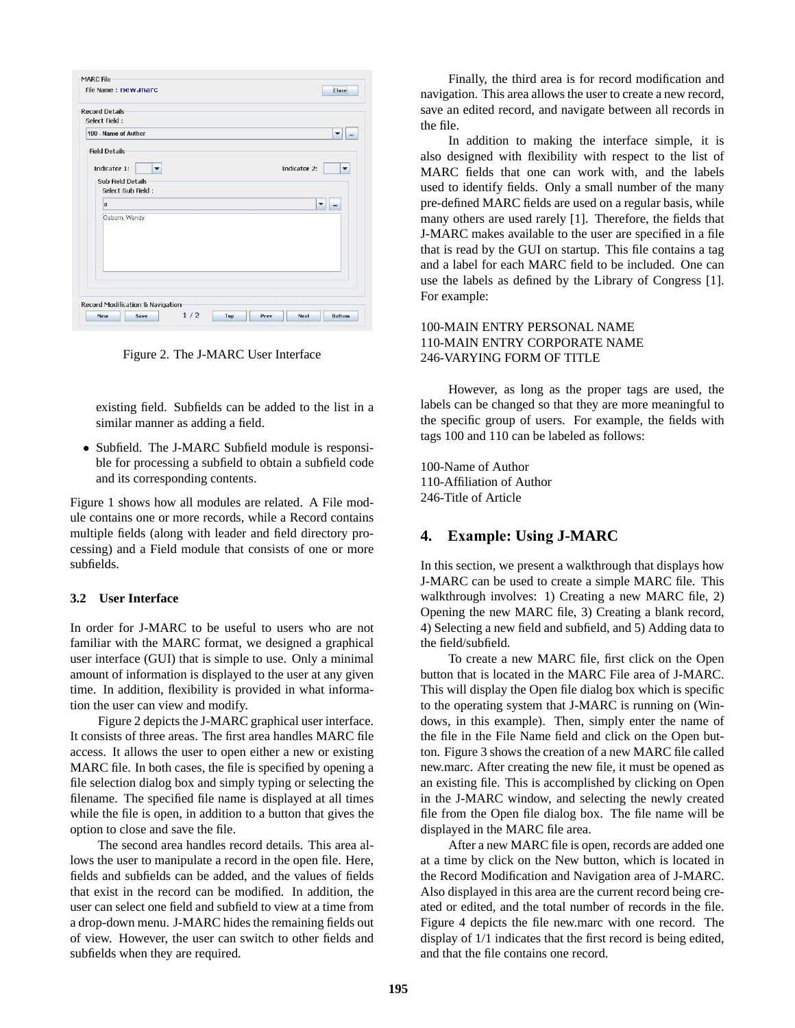| <b>Record Details</b><br>Select Field:<br>100 - Name of Author<br><b>Field Details</b> |  |              |                      |
|----------------------------------------------------------------------------------------|--|--------------|----------------------|
|                                                                                        |  |              |                      |
|                                                                                        |  |              | ▼<br>                |
| Indicator 1:<br>$\blacktriangledown$<br><b>Sub Field Details</b><br>Select Sub Field:  |  | Indicator 2: | $\blacktriangledown$ |
| a                                                                                      |  |              | ▼<br>                |
| Osborn, Wendy                                                                          |  |              |                      |
| <b>Record Modification &amp; Navigation</b>                                            |  |              |                      |

Figure 2. The J-MARC User Interface

existing field. Subfields can be added to the list in a similar manner as adding a field.

• Subfield. The J-MARC Subfield module is responsible for processing a subfield to obtain a subfield code and its corresponding contents.

Figure 1 shows how all modules are related. A File module contains one or more records, while a Record contains multiple fields (along with leader and field directory processing) and a Field module that consists of one or more subfields.

#### **3.2 User Interface**

In order for J-MARC to be useful to users who are not familiar with the MARC format, we designed a graphical user interface (GUI) that is simple to use. Only a minimal amount of information is displayed to the user at any given time. In addition, flexibility is provided in what information the user can view and modify.

Figure 2 depicts the J-MARC graphical user interface. It consists of three areas. The first area handles MARC file access. It allows the user to open either a new or existing MARC file. In both cases, the file is specified by opening a file selection dialog box and simply typing or selecting the filename. The specified file name is displayed at all times while the file is open, in addition to a button that gives the option to close and save the file.

The second area handles record details. This area allows the user to manipulate a record in the open file. Here, fields and subfields can be added, and the values of fields that exist in the record can be modified. In addition, the user can select one field and subfield to view at a time from a drop-down menu. J-MARC hides the remaining fields out of view. However, the user can switch to other fields and subfields when they are required.

Finally, the third area is for record modification and navigation. This area allows the user to create a new record, save an edited record, and navigate between all records in the file.

In addition to making the interface simple, it is also designed with flexibility with respect to the list of MARC fields that one can work with, and the labels used to identify fields. Only a small number of the many pre-defined MARC fields are used on a regular basis, while many others are used rarely [1]. Therefore, the fields that J-MARC makes available to the user are specified in a file that is read by the GUI on startup. This file contains a tag and a label for each MARC field to be included. One can use the labels as defined by the Library of Congress [1]. For example:

## 100-MAIN ENTRY PERSONAL NAME 110-MAIN ENTRY CORPORATE NAME 246-VARYING FORM OF TITLE

However, as long as the proper tags are used, the labels can be changed so that they are more meaningful to the specific group of users. For example, the fields with tags 100 and 110 can be labeled as follows:

100-Name of Author 110-Affiliation of Author 246-Title of Article

# **4. Example: Using J-MARC**

In this section, we present a walkthrough that displays how J-MARC can be used to create a simple MARC file. This walkthrough involves: 1) Creating a new MARC file, 2) Opening the new MARC file, 3) Creating a blank record, 4) Selecting a new field and subfield, and 5) Adding data to the field/subfield.

To create a new MARC file, first click on the Open button that is located in the MARC File area of J-MARC. This will display the Open file dialog box which is specific to the operating system that J-MARC is running on (Windows, in this example). Then, simply enter the name of the file in the File Name field and click on the Open button. Figure 3 shows the creation of a new MARC file called new.marc. After creating the new file, it must be opened as an existing file. This is accomplished by clicking on Open in the J-MARC window, and selecting the newly created file from the Open file dialog box. The file name will be displayed in the MARC file area.

After a new MARC file is open, records are added one at a time by click on the New button, which is located in the Record Modification and Navigation area of J-MARC. Also displayed in this area are the current record being created or edited, and the total number of records in the file. Figure 4 depicts the file new.marc with one record. The display of 1/1 indicates that the first record is being edited, and that the file contains one record.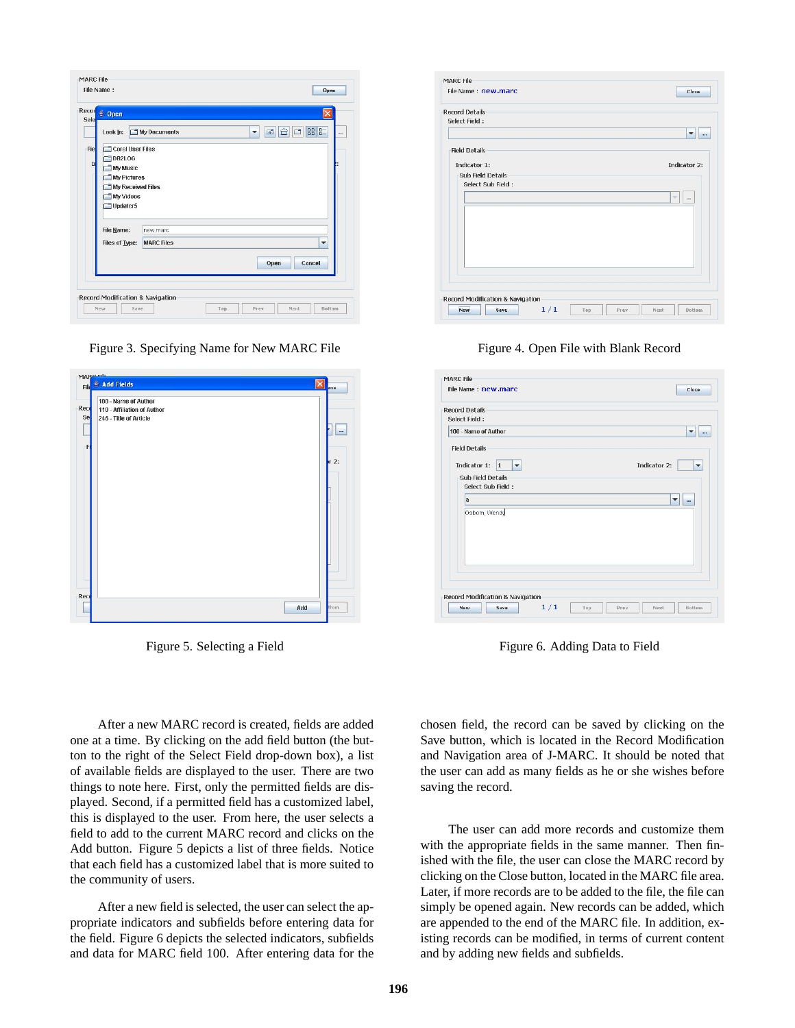| Sele     | $&$ Open                                                                                                          |                   |                          |        |                          |
|----------|-------------------------------------------------------------------------------------------------------------------|-------------------|--------------------------|--------|--------------------------|
|          | Look In:                                                                                                          | My Documents      | $\overline{\phantom{a}}$ | 凾<br>⊓ | $882 =$                  |
| Fie<br>I | <b>Corel User Files</b><br>DB2LOG<br>My Music<br><b>My Pictures</b><br>My Received Files<br>My Videos<br>Updater5 |                   |                          |        |                          |
|          | File Name:                                                                                                        | new.marc          |                          |        |                          |
|          | Files of Type:                                                                                                    | <b>MARC Files</b> |                          |        | $\overline{\phantom{a}}$ |
|          |                                                                                                                   |                   |                          | Open   | Cancel                   |

Figure 3. Specifying Name for New MARC File Figure 4. Open File with Blank Record

| File & Add Fields                                   | ose         |
|-----------------------------------------------------|-------------|
| 100 - Name of Author<br>110 - Affiliation of Author |             |
| 246 - Title of Article                              |             |
|                                                     |             |
|                                                     |             |
|                                                     |             |
|                                                     | $r2$ :      |
|                                                     |             |
|                                                     |             |
|                                                     |             |
|                                                     |             |
|                                                     |             |
|                                                     |             |
|                                                     |             |
|                                                     |             |
|                                                     |             |
|                                                     |             |
|                                                     |             |
|                                                     |             |
|                                                     |             |
|                                                     | Add<br>ttom |

After a new MARC record is created, fields are added one at a time. By clicking on the add field button (the button to the right of the Select Field drop-down box), a list of available fields are displayed to the user. There are two things to note here. First, only the permitted fields are displayed. Second, if a permitted field has a customized label, this is displayed to the user. From here, the user selects a field to add to the current MARC record and clicks on the Add button. Figure 5 depicts a list of three fields. Notice that each field has a customized label that is more suited to the community of users.

After a new field is selected, the user can select the appropriate indicators and subfields before entering data for the field. Figure 6 depicts the selected indicators, subfields and data for MARC field 100. After entering data for the

| File Name: new.marc      |  | Close                              |
|--------------------------|--|------------------------------------|
| <b>Record Details</b>    |  |                                    |
| Select Field:            |  |                                    |
|                          |  | ▼<br>                              |
| <b>Field Details</b>     |  |                                    |
| Indicator 1:             |  | Indicator 2:                       |
| <b>Sub Field Details</b> |  |                                    |
| Select Sub Field:        |  |                                    |
|                          |  | $\overline{\phantom{a}}$<br>in it. |
|                          |  |                                    |
|                          |  |                                    |
|                          |  |                                    |
|                          |  |                                    |
|                          |  |                                    |
|                          |  |                                    |
|                          |  |                                    |
|                          |  |                                    |

| <b>Record Details</b>                                            |                            |                   |  |                                      |
|------------------------------------------------------------------|----------------------------|-------------------|--|--------------------------------------|
| Select Field:                                                    |                            |                   |  |                                      |
| 100 - Name of Author                                             |                            |                   |  | $\mathbf{v}$<br>                     |
| <b>Field Details</b><br>Indicator 1:<br><b>Sub Field Details</b> | 1 <br>$\blacktriangledown$ |                   |  | Indicator 2:<br>$\blacktriangledown$ |
|                                                                  |                            | Select Sub Field: |  |                                      |
| a                                                                |                            |                   |  | ▼<br>                                |
| Osborn, Wendy                                                    |                            |                   |  |                                      |

Figure 5. Selecting a Field Field Figure 6. Adding Data to Field

chosen field, the record can be saved by clicking on the Save button, which is located in the Record Modification and Navigation area of J-MARC. It should be noted that the user can add as many fields as he or she wishes before saving the record.

The user can add more records and customize them with the appropriate fields in the same manner. Then finished with the file, the user can close the MARC record by clicking on the Close button, located in the MARC file area. Later, if more records are to be added to the file, the file can simply be opened again. New records can be added, which are appended to the end of the MARC file. In addition, existing records can be modified, in terms of current content and by adding new fields and subfields.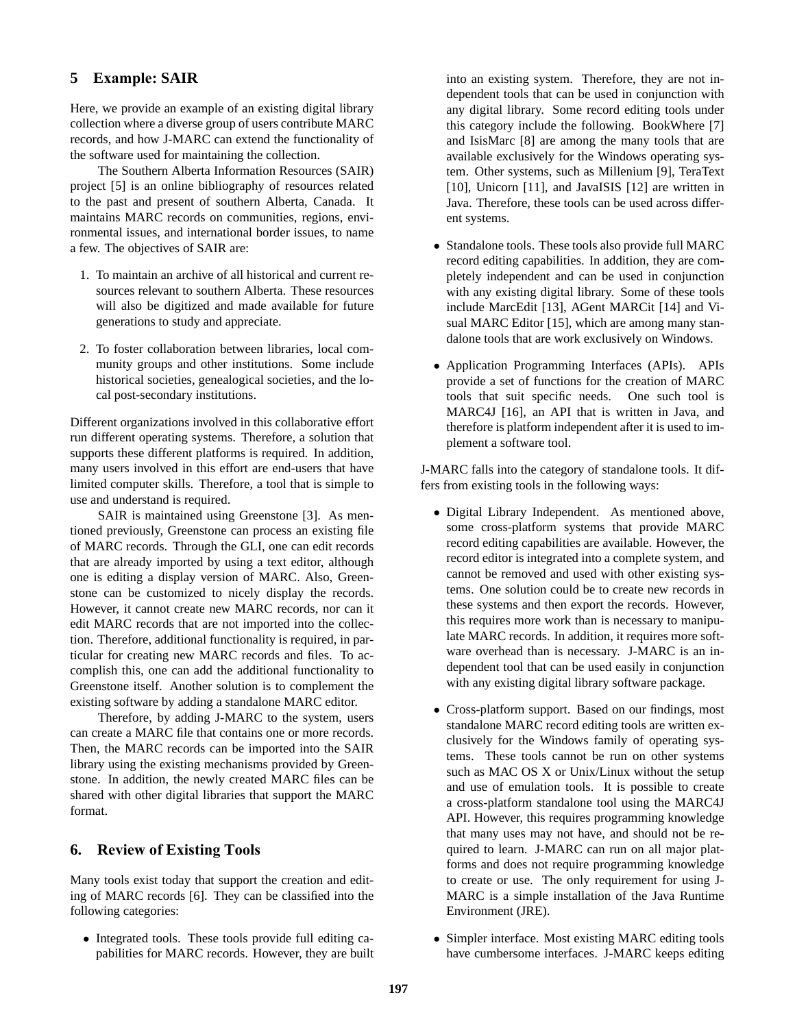# **5 Example: SAIR**

Here, we provide an example of an existing digital library collection where a diverse group of users contribute MARC records, and how J-MARC can extend the functionality of the software used for maintaining the collection.

The Southern Alberta Information Resources (SAIR) project [5] is an online bibliography of resources related to the past and present of southern Alberta, Canada. It maintains MARC records on communities, regions, environmental issues, and international border issues, to name a few. The objectives of SAIR are:

- 1. To maintain an archive of all historical and current resources relevant to southern Alberta. These resources will also be digitized and made available for future generations to study and appreciate.
- 2. To foster collaboration between libraries, local community groups and other institutions. Some include historical societies, genealogical societies, and the local post-secondary institutions.

Different organizations involved in this collaborative effort run different operating systems. Therefore, a solution that supports these different platforms is required. In addition, many users involved in this effort are end-users that have limited computer skills. Therefore, a tool that is simple to use and understand is required.

SAIR is maintained using Greenstone [3]. As mentioned previously, Greenstone can process an existing file of MARC records. Through the GLI, one can edit records that are already imported by using a text editor, although one is editing a display version of MARC. Also, Greenstone can be customized to nicely display the records. However, it cannot create new MARC records, nor can it edit MARC records that are not imported into the collection. Therefore, additional functionality is required, in particular for creating new MARC records and files. To accomplish this, one can add the additional functionality to Greenstone itself. Another solution is to complement the existing software by adding a standalone MARC editor.

Therefore, by adding J-MARC to the system, users can create a MARC file that contains one or more records. Then, the MARC records can be imported into the SAIR library using the existing mechanisms provided by Greenstone. In addition, the newly created MARC files can be shared with other digital libraries that support the MARC format.

## **6. Review of Existing Tools**

Many tools exist today that support the creation and editing of MARC records [6]. They can be classified into the following categories:

• Integrated tools. These tools provide full editing capabilities for MARC records. However, they are built into an existing system. Therefore, they are not independent tools that can be used in conjunction with any digital library. Some record editing tools under this category include the following. BookWhere [7] and IsisMarc [8] are among the many tools that are available exclusively for the Windows operating system. Other systems, such as Millenium [9], TeraText [10], Unicorn [11], and JavaISIS [12] are written in Java. Therefore, these tools can be used across different systems.

- Standalone tools. These tools also provide full MARC record editing capabilities. In addition, they are completely independent and can be used in conjunction with any existing digital library. Some of these tools include MarcEdit [13], AGent MARCit [14] and Visual MARC Editor [15], which are among many standalone tools that are work exclusively on Windows.
- Application Programming Interfaces (APIs). APIs provide a set of functions for the creation of MARC tools that suit specific needs. One such tool is MARC4J [16], an API that is written in Java, and therefore is platform independent after it is used to implement a software tool.

J-MARC falls into the category of standalone tools. It differs from existing tools in the following ways:

- Digital Library Independent. As mentioned above, some cross-platform systems that provide MARC record editing capabilities are available. However, the record editor is integrated into a complete system, and cannot be removed and used with other existing systems. One solution could be to create new records in these systems and then export the records. However, this requires more work than is necessary to manipulate MARC records. In addition, it requires more software overhead than is necessary. J-MARC is an independent tool that can be used easily in conjunction with any existing digital library software package.
- Cross-platform support. Based on our findings, most standalone MARC record editing tools are written exclusively for the Windows family of operating systems. These tools cannot be run on other systems such as MAC OS X or Unix/Linux without the setup and use of emulation tools. It is possible to create a cross-platform standalone tool using the MARC4J API. However, this requires programming knowledge that many uses may not have, and should not be required to learn. J-MARC can run on all major platforms and does not require programming knowledge to create or use. The only requirement for using J-MARC is a simple installation of the Java Runtime Environment (JRE).
- Simpler interface. Most existing MARC editing tools have cumbersome interfaces. J-MARC keeps editing